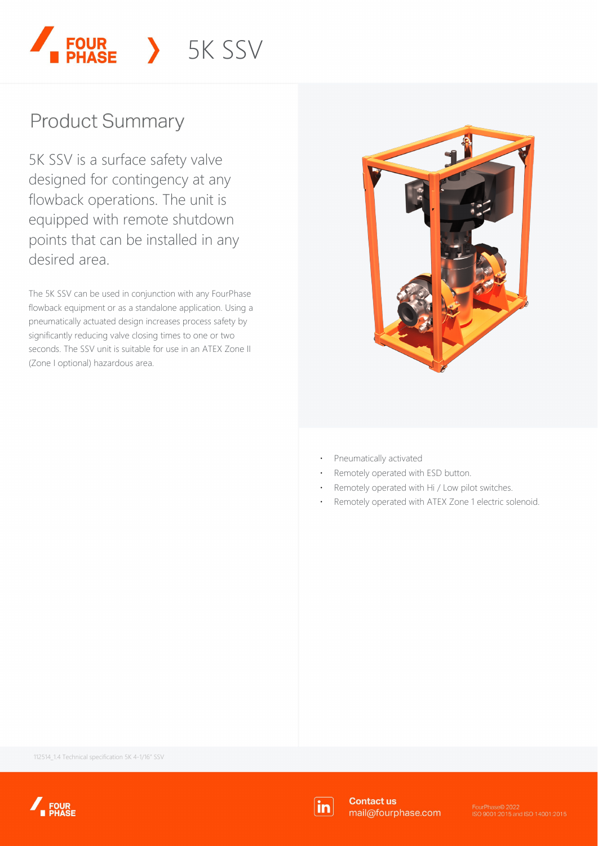

## **Product Summary**

5K SSV is a surface safety valve designed for contingency at any flowback operations. The unit is equipped with remote shutdown points that can be installed in any desired area.

The 5K SSV can be used in conjunction with any FourPhase flowback equipment or as a standalone application. Using a pneumatically actuated design increases process safety by significantly reducing valve closing times to one or two seconds. The SSV unit is suitable for use in an ATEX Zone II (Zone I optional) hazardous area.



- ⋅ Pneumatically activated
- Remotely operated with ESD button.
- ⋅ Remotely operated with Hi / Low pilot switches.
- Remotely operated with ATEX Zone 1 electric solenoid.

112514\_1.4 Technical specification 5K 4-1/16" SSV